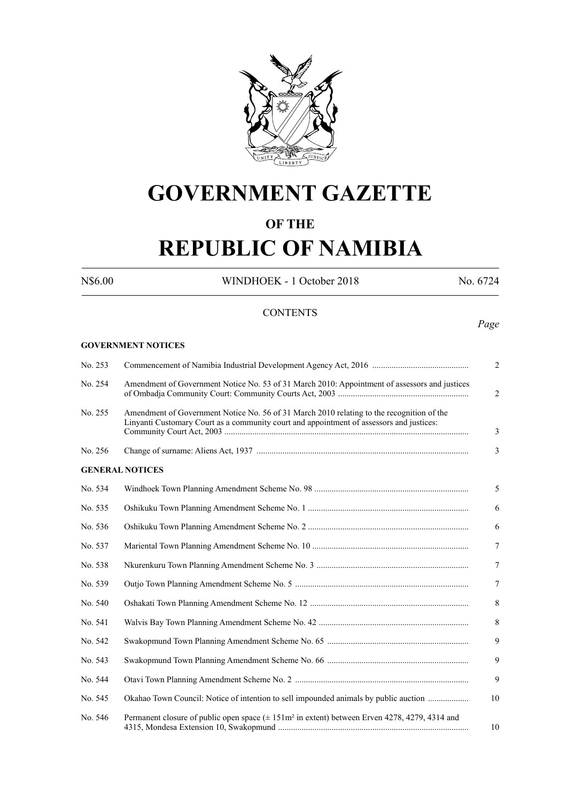

# **GOVERNMENT GAZETTE**

# **OF THE**

# **REPUBLIC OF NAMIBIA**

**GOVERNMENT NOTICES**

N\$6.00 WINDHOEK - 1 October 2018 No. 6724

# **CONTENTS**

#### *Page*

| No. 253 |                                                                                                                                                                                       | $\overline{2}$ |
|---------|---------------------------------------------------------------------------------------------------------------------------------------------------------------------------------------|----------------|
| No. 254 | Amendment of Government Notice No. 53 of 31 March 2010: Appointment of assessors and justices                                                                                         | $\overline{2}$ |
| No. 255 | Amendment of Government Notice No. 56 of 31 March 2010 relating to the recognition of the<br>Linyanti Customary Court as a community court and appointment of assessors and justices: | 3              |
| No. 256 |                                                                                                                                                                                       | 3              |
|         | <b>GENERAL NOTICES</b>                                                                                                                                                                |                |
| No. 534 |                                                                                                                                                                                       | 5              |
| No. 535 |                                                                                                                                                                                       | 6              |
| No. 536 |                                                                                                                                                                                       | 6              |
| No. 537 |                                                                                                                                                                                       | $\tau$         |
| No. 538 |                                                                                                                                                                                       | $\tau$         |
| No. 539 |                                                                                                                                                                                       | $\tau$         |
| No. 540 |                                                                                                                                                                                       | 8              |
| No. 541 |                                                                                                                                                                                       | 8              |
| No. 542 |                                                                                                                                                                                       | 9              |
| No. 543 |                                                                                                                                                                                       | 9              |
| No. 544 |                                                                                                                                                                                       | 9              |
| No. 545 | Okahao Town Council: Notice of intention to sell impounded animals by public auction                                                                                                  | 10             |
| No. 546 | Permanent closure of public open space $(\pm 151 \text{ m}^2 \text{ in extent})$ between Erven 4278, 4279, 4314 and                                                                   | 10             |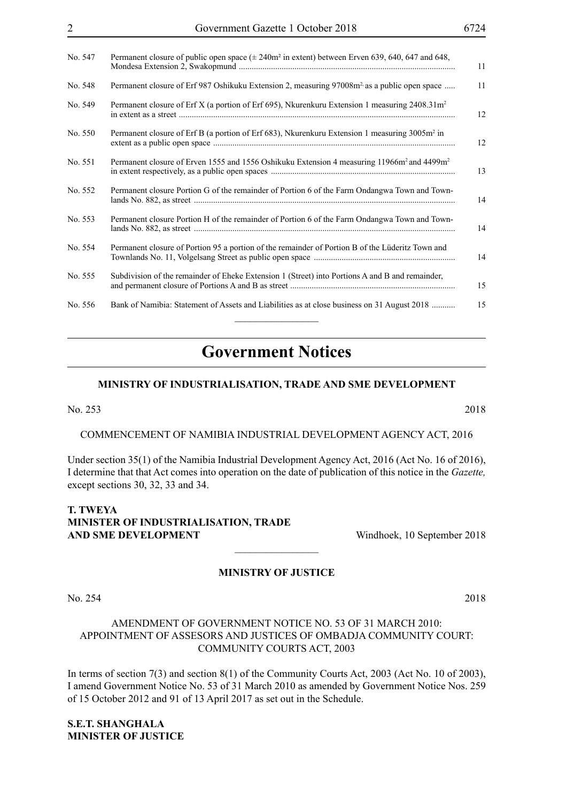| No. 547 | Permanent closure of public open space $(\pm 240m^2 \text{ in extent})$ between Erven 639, 640, 647 and 648,<br>11       |
|---------|--------------------------------------------------------------------------------------------------------------------------|
| No. 548 | Permanent closure of Erf 987 Oshikuku Extension 2, measuring 97008m <sup>2</sup> as a public open space<br>11            |
| No. 549 | Permanent closure of Erf X (a portion of Erf 695), Nkurenkuru Extension 1 measuring 2408.31m <sup>2</sup><br>12          |
| No. 550 | Permanent closure of Erf B (a portion of Erf 683), Nkurenkuru Extension 1 measuring 3005m <sup>2</sup> in<br>12          |
| No. 551 | Permanent closure of Erven 1555 and 1556 Oshikuku Extension 4 measuring 11966m <sup>2</sup> and 4499m <sup>2</sup><br>13 |
| No. 552 | Permanent closure Portion G of the remainder of Portion 6 of the Farm Ondangwa Town and Town-<br>14                      |
| No. 553 | Permanent closure Portion H of the remainder of Portion 6 of the Farm Ondangwa Town and Town-<br>14                      |
| No. 554 | Permanent closure of Portion 95 a portion of the remainder of Portion B of the Lüderitz Town and<br>14                   |
| No. 555 | Subdivision of the remainder of Eheke Extension 1 (Street) into Portions A and B and remainder,<br>15                    |
| No. 556 | Bank of Namibia: Statement of Assets and Liabilities as at close business on 31 August 2018<br>15                        |
|         |                                                                                                                          |

# **Government Notices**

#### **MINISTRY OF INDUSTRIALISATION, TRADE AND SME DEVELOPMENT**

No. 253 2018

COMMENCEMENT OF NAMIBIA INDUSTRIAL DEVELOPMENT AGENCY ACT, 2016

Under section 35(1) of the Namibia Industrial Development Agency Act, 2016 (Act No. 16 of 2016), I determine that that Act comes into operation on the date of publication of this notice in the *Gazette,*  except sections 30, 32, 33 and 34.

# **T. TWEYA Minister OF IndustrialiSation, Trade AND SME DEVELOPMENT** Windhoek, 10 September 2018

#### **MINISTRY OF JUSTICE**

 $\frac{1}{2}$ 

No. 254 2018

# AMENDMENT OF GOVERNMENT NOTICE NO. 53 OF 31 MARCH 2010: APPOINTMENT OF ASSESORS AND JUSTICES OF OMBADJA COMMUNITY COURT: COMMUNITY COURTS ACT, 2003

In terms of section 7(3) and section 8(1) of the Community Courts Act, 2003 (Act No. 10 of 2003), I amend Government Notice No. 53 of 31 March 2010 as amended by Government Notice Nos. 259 of 15 October 2012 and 91 of 13 April 2017 as set out in the Schedule.

**S.E.T. SHANGHALA Minister of Justice**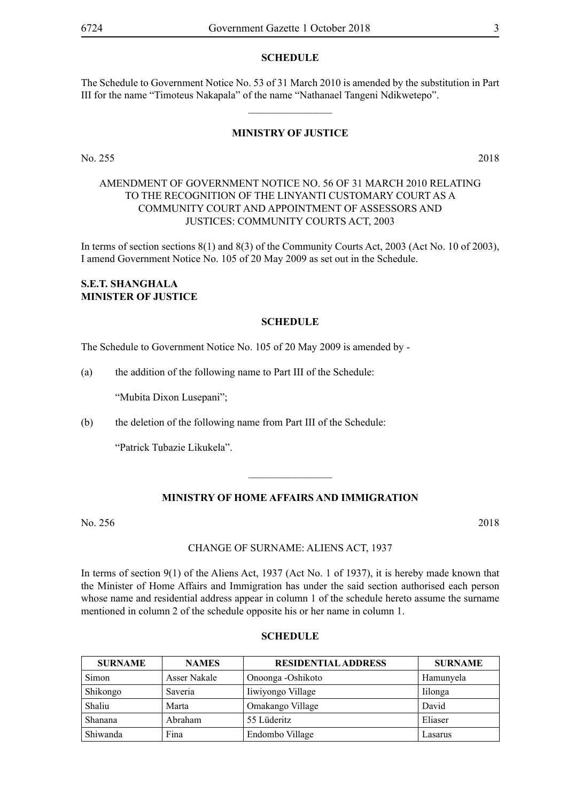#### **SCHEDULE**

The Schedule to Government Notice No. 53 of 31 March 2010 is amended by the substitution in Part III for the name "Timoteus Nakapala" of the name "Nathanael Tangeni Ndikwetepo".

 $\overline{\phantom{a}}$  , where  $\overline{\phantom{a}}$ 

#### **MINISTRY OF JUSTICE**

No. 255 2018

# AMENDMENT OF GOVERNMENT NOTICE NO. 56 OF 31 MARCH 2010 RELATING TO THE RECOGNITION OF THE LINYANTI CUSTOMARY COURT AS A COMMUNITY COURT AND APPOINTMENT OF ASSESSORS AND JUSTICES: COMMUNITY COURTS ACT, 2003

In terms of section sections 8(1) and 8(3) of the Community Courts Act, 2003 (Act No. 10 of 2003), I amend Government Notice No. 105 of 20 May 2009 as set out in the Schedule.

#### **S.E.T. SHANGHALA Minister of Justice**

#### **SCHEDULE**

The Schedule to Government Notice No. 105 of 20 May 2009 is amended by -

(a) the addition of the following name to Part III of the Schedule:

"Mubita Dixon Lusepani";

(b) the deletion of the following name from Part III of the Schedule:

"Patrick Tubazie Likukela".

#### **MINISTRY OF HOME AFFAIRS AND IMMIGRATION**

 $\overline{\phantom{a}}$  , where  $\overline{\phantom{a}}$ 

No. 256 2018

#### CHANGE OF SURNAME: ALIENS ACT, 1937

In terms of section 9(1) of the Aliens Act, 1937 (Act No. 1 of 1937), it is hereby made known that the Minister of Home Affairs and Immigration has under the said section authorised each person whose name and residential address appear in column 1 of the schedule hereto assume the surname mentioned in column 2 of the schedule opposite his or her name in column 1.

#### **SCHEDULE**

| <b>SURNAME</b> | <b>NAMES</b> | <b>RESIDENTIAL ADDRESS</b> | <b>SURNAME</b> |
|----------------|--------------|----------------------------|----------------|
| Simon          | Asser Nakale | Onoonga -Oshikoto          | Hamunyela      |
| Shikongo       | Saveria      | Iiwiyongo Village          | <i>lilonga</i> |
| Shaliu         | Marta        | Omakango Village           | David          |
| Shanana        | Abraham      | 55 Lüderitz                | Eliaser        |
| Shiwanda       | Fina         | Endombo Village            | Lasarus        |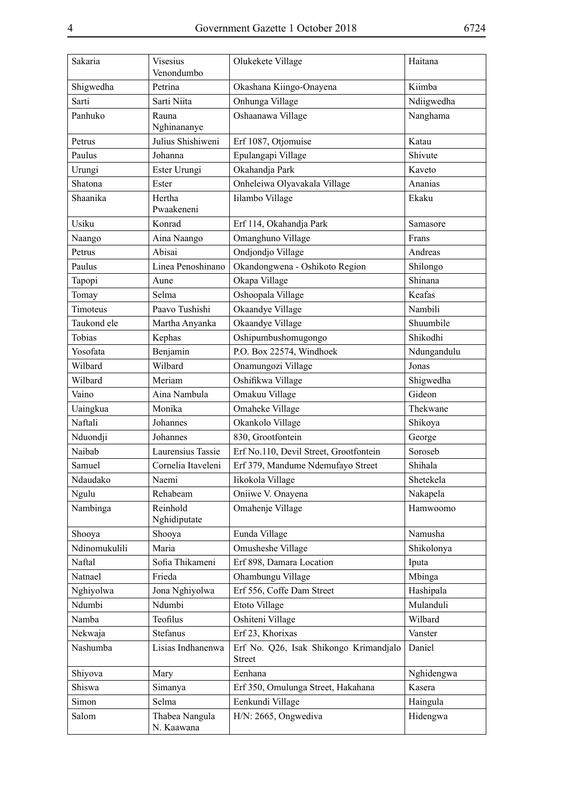| Sakaria       | <b>Visesius</b><br>Venondumbo | Olukekete Village                                       | Haitana     |
|---------------|-------------------------------|---------------------------------------------------------|-------------|
| Shigwedha     | Petrina                       | Okashana Kiingo-Onayena                                 | Kiimba      |
| Sarti         | Sarti Niita                   | Onhunga Village                                         | Ndiigwedha  |
| Panhuko       | Rauna<br>Nghinananye          | Oshaanawa Village                                       | Nanghama    |
| Petrus        | Julius Shishiweni             | Erf 1087, Otjomuise                                     | Katau       |
| Paulus        | Johanna                       | Epulangapi Village                                      | Shivute     |
| Urungi        | Ester Urungi                  | Okahandja Park                                          | Kaveto      |
| Shatona       | Ester                         | Onheleiwa Olyavakala Village                            | Ananias     |
| Shaanika      | Hertha<br>Pwaakeneni          | Iilambo Village                                         | Ekaku       |
| Usiku         | Konrad                        | Erf 114, Okahandja Park                                 | Samasore    |
| Naango        | Aina Naango                   | Omanghuno Village                                       | Frans       |
| Petrus        | Abisai                        | Ondjondjo Village                                       | Andreas     |
| Paulus        | Linea Penoshinano             | Okandongwena - Oshikoto Region                          | Shilongo    |
| Tapopi        | Aune                          | Okapa Village                                           | Shinana     |
| Tomay         | Selma                         | Oshoopala Village                                       | Keafas      |
| Timoteus      | Paavo Tushishi                | Okaandye Village                                        | Nambili     |
| Taukond ele   | Martha Anyanka                | Okaandye Village                                        | Shuumbile   |
| Tobias        | Kephas                        | Oshipumbushomugongo                                     | Shikodhi    |
| Yosofata      | Benjamin                      | P.O. Box 22574, Windhoek                                | Ndungandulu |
| Wilbard       | Wilbard                       | Onamungozi Village                                      | Jonas       |
| Wilbard       | Meriam                        | Oshifikwa Village                                       | Shigwedha   |
| Vaino         | Aina Nambula                  | Omakuu Village                                          | Gideon      |
| Uaingkua      | Monika                        | Omaheke Village                                         | Thekwane    |
| Naftali       | Johannes                      | Okankolo Village                                        | Shikoya     |
| Nduondji      | Johannes                      | 830, Grootfontein                                       | George      |
| Naibab        | Laurensius Tassie             | Erf No.110, Devil Street, Grootfontein                  | Soroseb     |
| Samuel        | Cornelia Itaveleni            | Erf 379, Mandume Ndemufayo Street                       | Shihala     |
| Ndaudako      | Naemi                         | Iikokola Village                                        | Shetekela   |
| Ngulu         | Rehabeam                      | Oniiwe V. Onayena                                       | Nakapela    |
| Nambinga      | Reinhold<br>Nghidiputate      | Omahenje Village                                        | Hamwoomo    |
| Shooya        | Shooya                        | Eunda Village                                           | Namusha     |
| Ndinomukulili | Maria                         | Omusheshe Village                                       | Shikolonya  |
| Naftal        | Sofia Thikameni               | Erf 898, Damara Location                                | Iputa       |
| Natnael       | Frieda                        | Ohambungu Village                                       | Mbinga      |
| Nghiyolwa     | Jona Nghiyolwa                | Erf 556, Coffe Dam Street                               | Hashipala   |
| Ndumbi        | Ndumbi                        | Etoto Village                                           | Mulanduli   |
| Namba         | Teofilus                      | Oshiteni Village                                        | Wilbard     |
| Nekwaja       | Stefanus                      | Erf 23, Khorixas                                        | Vanster     |
| Nashumba      | Lisias Indhanenwa             | Erf No. Q26, Isak Shikongo Krimandjalo<br><b>Street</b> | Daniel      |
| Shiyova       | Mary                          | Eenhana                                                 | Nghidengwa  |
| Shiswa        | Simanya                       | Erf 350, Omulunga Street, Hakahana                      | Kasera      |
| Simon         | Selma                         | Eenkundi Village                                        | Haingula    |
| Salom         | Thabea Nangula<br>N. Kaawana  | H/N: 2665, Ongwediva                                    | Hidengwa    |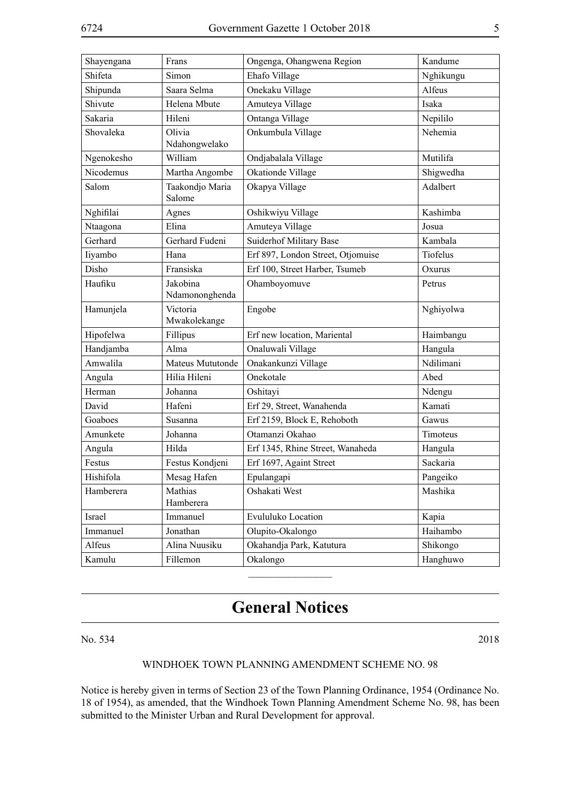| Shayengana | Frans                      | Ongenga, Ohangwena Region         | Kandume   |
|------------|----------------------------|-----------------------------------|-----------|
| Shifeta    | Simon                      | Ehafo Village                     | Nghikungu |
| Shipunda   | Saara Selma                | Onekaku Village                   | Alfeus    |
| Shivute    | Helena Mbute               | Amuteya Village                   | Isaka     |
| Sakaria    | Hileni                     | Ontanga Village                   | Nepililo  |
| Shovaleka  | Olivia                     | Onkumbula Village                 | Nehemia   |
|            | Ndahongwelako              |                                   |           |
| Ngenokesho | William                    | Ondjabalala Village               | Mutilifa  |
| Nicodemus  | Martha Angombe             | Okationde Village                 | Shigwedha |
| Salom      | Taakondjo Maria<br>Salome  | Okapya Village                    | Adalbert  |
| Nghifilai  | Agnes                      | Oshikwiyu Village                 | Kashimba  |
| Ntaagona   | Elina                      | Amuteya Village                   | Josua     |
| Gerhard    | Gerhard Fudeni             | <b>Suiderhof Military Base</b>    | Kambala   |
| Iiyambo    | Hana                       | Erf 897, London Street, Otjomuise | Tiofelus  |
| Disho      | Fransiska                  | Erf 100, Street Harber, Tsumeb    | Oxurus    |
| Haufiku    | Jakobina<br>Ndamononghenda | Ohamboyomuve                      | Petrus    |
| Hamunjela  | Victoria<br>Mwakolekange   | Engobe                            | Nghiyolwa |
| Hipofelwa  | Fillipus                   | Erf new location, Mariental       | Haimbangu |
| Handjamba  | Alma                       | Onaluwali Village                 | Hangula   |
| Amwalila   | Mateus Mututonde           | Onakankunzi Village               | Ndilimani |
| Angula     | Hilia Hileni               | Onekotale                         | Abed      |
| Herman     | Johanna                    | Oshitayi                          | Ndengu    |
| David      | Hafeni                     | Erf 29, Street, Wanahenda         | Kamati    |
| Goaboes    | Susanna                    | Erf 2159, Block E, Rehoboth       | Gawus     |
| Amunkete   | Johanna                    | Otamanzi Okahao                   | Timoteus  |
| Angula     | Hilda                      | Erf 1345, Rhine Street, Wanaheda  | Hangula   |
| Festus     | Festus Kondjeni            | Erf 1697, Againt Street           | Sackaria  |
| Hishifola  | Mesag Hafen                | Epulangapi                        | Pangeiko  |
| Hamberera  | Mathias<br>Hamberera       | Oshakati West                     | Mashika   |
| Israel     | Immanuel                   | Evululuko Location                | Kapia     |
| Immanuel   | Jonathan                   | Olupito-Okalongo                  | Haihambo  |
| Alfeus     | Alina Nuusiku              | Okahandja Park, Katutura          | Shikongo  |
| Kamulu     | Fillemon                   | Okalongo                          | Hanghuwo  |

# **General Notices**

 $\overline{\phantom{a}}$  , where  $\overline{\phantom{a}}$ 

No. 534 2018

#### WINDHOEK TOWN PLANNING AMENDMENT SCHEME NO. 98

Notice is hereby given in terms of Section 23 of the Town Planning Ordinance, 1954 (Ordinance No. 18 of 1954), as amended, that the Windhoek Town Planning Amendment Scheme No. 98, has been submitted to the Minister Urban and Rural Development for approval.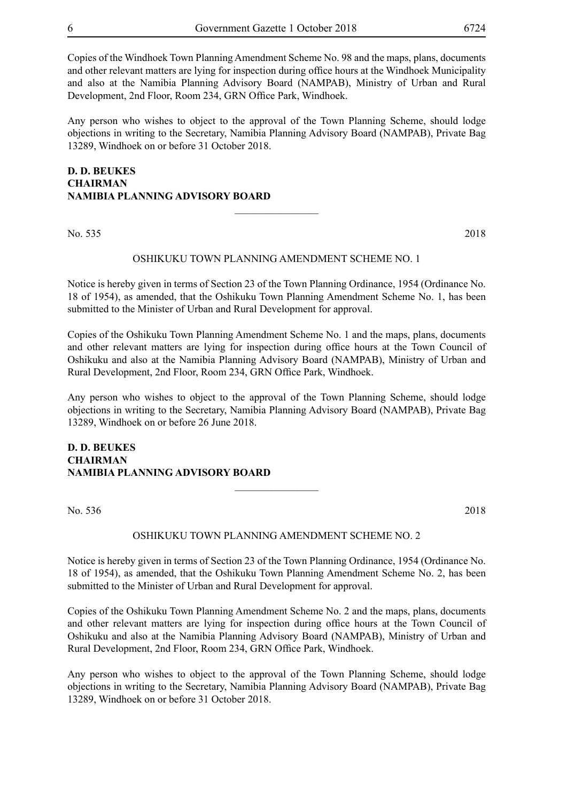Copies of the Windhoek Town Planning Amendment Scheme No. 98 and the maps, plans, documents and other relevant matters are lying for inspection during office hours at the Windhoek Municipality and also at the Namibia Planning Advisory Board (NAMPAB), Ministry of Urban and Rural Development, 2nd Floor, Room 234, GRN Office Park, Windhoek.

Any person who wishes to object to the approval of the Town Planning Scheme, should lodge objections in writing to the Secretary, Namibia Planning Advisory Board (NAMPAB), Private Bag 13289, Windhoek on or before 31 October 2018.

# **D. D. BEUKES CHAIRMAN NAMIBIA PLANNING ADVISORY BOARD**  $\overline{\phantom{a}}$  , where  $\overline{\phantom{a}}$

No. 535 2018

#### OSHIKUKU TOWN PLANNING AMENDMENT SCHEME NO. 1

Notice is hereby given in terms of Section 23 of the Town Planning Ordinance, 1954 (Ordinance No. 18 of 1954), as amended, that the Oshikuku Town Planning Amendment Scheme No. 1, has been submitted to the Minister of Urban and Rural Development for approval.

Copies of the Oshikuku Town Planning Amendment Scheme No. 1 and the maps, plans, documents and other relevant matters are lying for inspection during office hours at the Town Council of Oshikuku and also at the Namibia Planning Advisory Board (NAMPAB), Ministry of Urban and Rural Development, 2nd Floor, Room 234, GRN Office Park, Windhoek.

Any person who wishes to object to the approval of the Town Planning Scheme, should lodge objections in writing to the Secretary, Namibia Planning Advisory Board (NAMPAB), Private Bag 13289, Windhoek on or before 26 June 2018.

## **D. D. BEUKES CHAIRMAN NAMIBIA PLANNING ADVISORY BOARD**

No. 536 2018

#### OSHIKUKU TOWN PLANNING AMENDMENT SCHEME NO. 2

 $\frac{1}{2}$ 

Notice is hereby given in terms of Section 23 of the Town Planning Ordinance, 1954 (Ordinance No. 18 of 1954), as amended, that the Oshikuku Town Planning Amendment Scheme No. 2, has been submitted to the Minister of Urban and Rural Development for approval.

Copies of the Oshikuku Town Planning Amendment Scheme No. 2 and the maps, plans, documents and other relevant matters are lying for inspection during office hours at the Town Council of Oshikuku and also at the Namibia Planning Advisory Board (NAMPAB), Ministry of Urban and Rural Development, 2nd Floor, Room 234, GRN Office Park, Windhoek.

Any person who wishes to object to the approval of the Town Planning Scheme, should lodge objections in writing to the Secretary, Namibia Planning Advisory Board (NAMPAB), Private Bag 13289, Windhoek on or before 31 October 2018.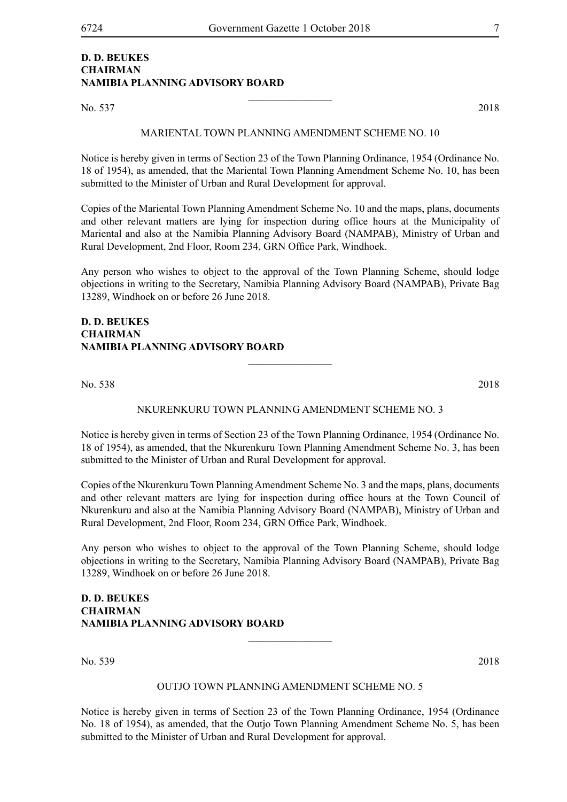# **D. D. BEUKES CHAIRMAN NAMIBIA PLANNING ADVISORY BOARD**

No. 537 2018

MARIENTAL TOWN PLANNING AMENDMENT SCHEME NO. 10

 $\frac{1}{2}$ 

Notice is hereby given in terms of Section 23 of the Town Planning Ordinance, 1954 (Ordinance No. 18 of 1954), as amended, that the Mariental Town Planning Amendment Scheme No. 10, has been submitted to the Minister of Urban and Rural Development for approval.

Copies of the Mariental Town Planning Amendment Scheme No. 10 and the maps, plans, documents and other relevant matters are lying for inspection during office hours at the Municipality of Mariental and also at the Namibia Planning Advisory Board (NAMPAB), Ministry of Urban and Rural Development, 2nd Floor, Room 234, GRN Office Park, Windhoek.

Any person who wishes to object to the approval of the Town Planning Scheme, should lodge objections in writing to the Secretary, Namibia Planning Advisory Board (NAMPAB), Private Bag 13289, Windhoek on or before 26 June 2018.

# **D. D. BEUKES CHAIRMAN NAMIBIA PLANNING ADVISORY BOARD**

No. 538 2018

#### NKURENKURU TOWN PLANNING AMENDMENT SCHEME NO. 3

 $\overline{\phantom{a}}$  , where  $\overline{\phantom{a}}$ 

Notice is hereby given in terms of Section 23 of the Town Planning Ordinance, 1954 (Ordinance No. 18 of 1954), as amended, that the Nkurenkuru Town Planning Amendment Scheme No. 3, has been submitted to the Minister of Urban and Rural Development for approval.

Copies of the Nkurenkuru Town Planning Amendment Scheme No. 3 and the maps, plans, documents and other relevant matters are lying for inspection during office hours at the Town Council of Nkurenkuru and also at the Namibia Planning Advisory Board (NAMPAB), Ministry of Urban and Rural Development, 2nd Floor, Room 234, GRN Office Park, Windhoek.

Any person who wishes to object to the approval of the Town Planning Scheme, should lodge objections in writing to the Secretary, Namibia Planning Advisory Board (NAMPAB), Private Bag 13289, Windhoek on or before 26 June 2018.

**D. D. BEUKES CHAIRMAN NAMIBIA PLANNING ADVISORY BOARD**

No. 539 2018

#### OUTJO TOWN PLANNING AMENDMENT SCHEME NO. 5

 $\frac{1}{2}$ 

Notice is hereby given in terms of Section 23 of the Town Planning Ordinance, 1954 (Ordinance No. 18 of 1954), as amended, that the Outjo Town Planning Amendment Scheme No. 5, has been submitted to the Minister of Urban and Rural Development for approval.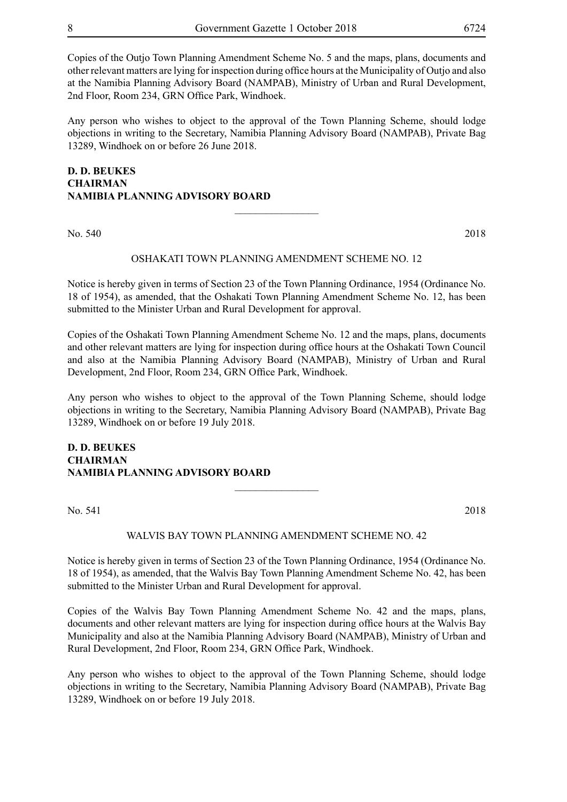Copies of the Outjo Town Planning Amendment Scheme No. 5 and the maps, plans, documents and other relevant matters are lying for inspection during office hours at the Municipality of Outjo and also at the Namibia Planning Advisory Board (NAMPAB), Ministry of Urban and Rural Development, 2nd Floor, Room 234, GRN Office Park, Windhoek.

Any person who wishes to object to the approval of the Town Planning Scheme, should lodge objections in writing to the Secretary, Namibia Planning Advisory Board (NAMPAB), Private Bag 13289, Windhoek on or before 26 June 2018.

# **D. D. BEUKES CHAIRMAN NAMIBIA PLANNING ADVISORY BOARD**  $\overline{\phantom{a}}$  , where  $\overline{\phantom{a}}$

No. 540 2018

#### OSHAKATI TOWN PLANNING AMENDMENT SCHEME NO. 12

Notice is hereby given in terms of Section 23 of the Town Planning Ordinance, 1954 (Ordinance No. 18 of 1954), as amended, that the Oshakati Town Planning Amendment Scheme No. 12, has been submitted to the Minister Urban and Rural Development for approval.

Copies of the Oshakati Town Planning Amendment Scheme No. 12 and the maps, plans, documents and other relevant matters are lying for inspection during office hours at the Oshakati Town Council and also at the Namibia Planning Advisory Board (NAMPAB), Ministry of Urban and Rural Development, 2nd Floor, Room 234, GRN Office Park, Windhoek.

Any person who wishes to object to the approval of the Town Planning Scheme, should lodge objections in writing to the Secretary, Namibia Planning Advisory Board (NAMPAB), Private Bag 13289, Windhoek on or before 19 July 2018.

## **D. D. BEUKES CHAIRMAN NAMIBIA PLANNING ADVISORY BOARD**

No. 541 2018

#### WALVIS BAY TOWN PLANNING AMENDMENT SCHEME NO. 42

 $\frac{1}{2}$ 

Notice is hereby given in terms of Section 23 of the Town Planning Ordinance, 1954 (Ordinance No. 18 of 1954), as amended, that the Walvis Bay Town Planning Amendment Scheme No. 42, has been submitted to the Minister Urban and Rural Development for approval.

Copies of the Walvis Bay Town Planning Amendment Scheme No. 42 and the maps, plans, documents and other relevant matters are lying for inspection during office hours at the Walvis Bay Municipality and also at the Namibia Planning Advisory Board (NAMPAB), Ministry of Urban and Rural Development, 2nd Floor, Room 234, GRN Office Park, Windhoek.

Any person who wishes to object to the approval of the Town Planning Scheme, should lodge objections in writing to the Secretary, Namibia Planning Advisory Board (NAMPAB), Private Bag 13289, Windhoek on or before 19 July 2018.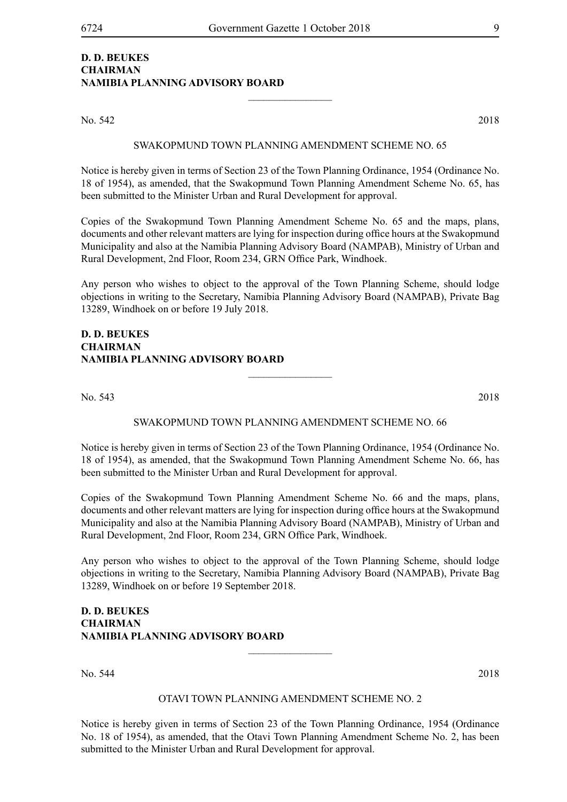# **D. D. BEUKES CHAIRMAN NAMIBIA PLANNING ADVISORY BOARD**

No. 542 2018

#### SWAKOPMUND TOWN PLANNING AMENDMENT SCHEME NO. 65

 $\frac{1}{2}$ 

Notice is hereby given in terms of Section 23 of the Town Planning Ordinance, 1954 (Ordinance No. 18 of 1954), as amended, that the Swakopmund Town Planning Amendment Scheme No. 65, has been submitted to the Minister Urban and Rural Development for approval.

Copies of the Swakopmund Town Planning Amendment Scheme No. 65 and the maps, plans, documents and other relevant matters are lying for inspection during office hours at the Swakopmund Municipality and also at the Namibia Planning Advisory Board (NAMPAB), Ministry of Urban and Rural Development, 2nd Floor, Room 234, GRN Office Park, Windhoek.

Any person who wishes to object to the approval of the Town Planning Scheme, should lodge objections in writing to the Secretary, Namibia Planning Advisory Board (NAMPAB), Private Bag 13289, Windhoek on or before 19 July 2018.

#### **D. D. BEUKES CHAIRMAN NAMIBIA PLANNING ADVISORY BOARD**

No. 543 2018

#### SWAKOPMUND TOWN PLANNING AMENDMENT SCHEME NO. 66

 $\overline{\phantom{a}}$  , where  $\overline{\phantom{a}}$ 

Notice is hereby given in terms of Section 23 of the Town Planning Ordinance, 1954 (Ordinance No. 18 of 1954), as amended, that the Swakopmund Town Planning Amendment Scheme No. 66, has been submitted to the Minister Urban and Rural Development for approval.

Copies of the Swakopmund Town Planning Amendment Scheme No. 66 and the maps, plans, documents and other relevant matters are lying for inspection during office hours at the Swakopmund Municipality and also at the Namibia Planning Advisory Board (NAMPAB), Ministry of Urban and Rural Development, 2nd Floor, Room 234, GRN Office Park, Windhoek.

Any person who wishes to object to the approval of the Town Planning Scheme, should lodge objections in writing to the Secretary, Namibia Planning Advisory Board (NAMPAB), Private Bag 13289, Windhoek on or before 19 September 2018.

# **D. D. BEUKES CHAIRMAN NAMIBIA PLANNING ADVISORY BOARD**

No. 544 2018

#### OTAVI TOWN PLANNING AMENDMENT SCHEME NO. 2

 $\overline{\phantom{a}}$  , where  $\overline{\phantom{a}}$ 

Notice is hereby given in terms of Section 23 of the Town Planning Ordinance, 1954 (Ordinance No. 18 of 1954), as amended, that the Otavi Town Planning Amendment Scheme No. 2, has been submitted to the Minister Urban and Rural Development for approval.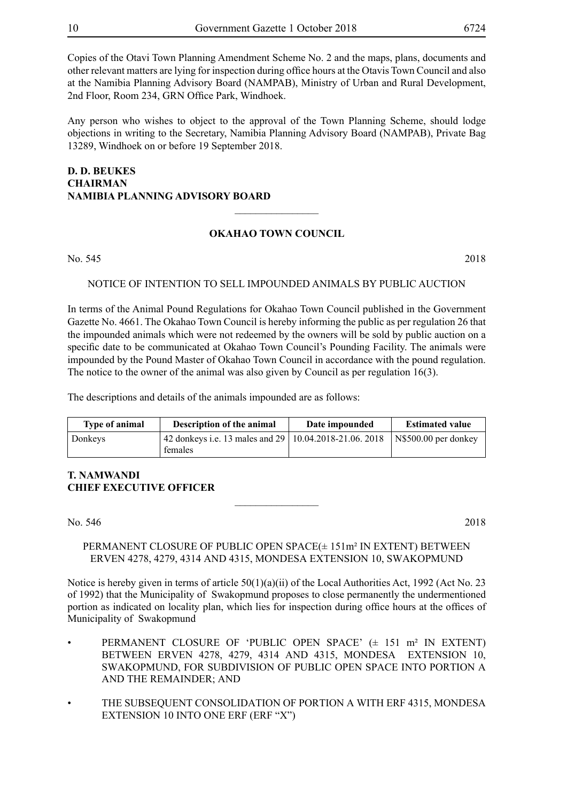Copies of the Otavi Town Planning Amendment Scheme No. 2 and the maps, plans, documents and other relevant matters are lying for inspection during office hours at the Otavis Town Council and also at the Namibia Planning Advisory Board (NAMPAB), Ministry of Urban and Rural Development, 2nd Floor, Room 234, GRN Office Park, Windhoek.

Any person who wishes to object to the approval of the Town Planning Scheme, should lodge objections in writing to the Secretary, Namibia Planning Advisory Board (NAMPAB), Private Bag 13289, Windhoek on or before 19 September 2018.

# **D. D. BEUKES CHAIRMAN NAMIBIA PLANNING ADVISORY BOARD**  $\overline{\phantom{a}}$  , where  $\overline{\phantom{a}}$

# **OKAHAO TOWN COUNCIL**

No. 545 2018

# NOTICE OF INTENTION TO SELL IMPOUNDED ANIMALS BY PUBLIC AUCTION

In terms of the Animal Pound Regulations for Okahao Town Council published in the Government Gazette No. 4661. The Okahao Town Council is hereby informing the public as per regulation 26 that the impounded animals which were not redeemed by the owners will be sold by public auction on a specific date to be communicated at Okahao Town Council's Pounding Facility. The animals were impounded by the Pound Master of Okahao Town Council in accordance with the pound regulation. The notice to the owner of the animal was also given by Council as per regulation 16(3).

The descriptions and details of the animals impounded are as follows:

| <b>Type of animal</b> | Description of the animal                                           | Date impounded | <b>Estimated value</b> |
|-----------------------|---------------------------------------------------------------------|----------------|------------------------|
| Donkeys               | 42 donkeys i.e. 13 males and 29   10.04.2018-21.06. 2018<br>females |                | $NS500.00$ per donkey  |

# **T. NAMWANDI CHIEF EXECUTIVE OFFICER**

No. 546 2018

#### PERMANENT CLOSURE OF PUBLIC OPEN SPACE(± 151m² IN EXTENT) BETWEEN ERVEN 4278, 4279, 4314 AND 4315, MONDESA EXTENSION 10, SWAKOPMUND

 $\overline{\phantom{a}}$  , where  $\overline{\phantom{a}}$ 

Notice is hereby given in terms of article 50(1)(a)(ii) of the Local Authorities Act, 1992 (Act No. 23 of 1992) that the Municipality of Swakopmund proposes to close permanently the undermentioned portion as indicated on locality plan, which lies for inspection during office hours at the offices of Municipality of Swakopmund

- PERMANENT CLOSURE OF 'PUBLIC OPEN SPACE' (± 151 m² IN EXTENT) BETWEEN ERVEN 4278, 4279, 4314 AND 4315, MONDESA EXTENSION 10, SWAKOPMUND, FOR SUBDIVISION OF PUBLIC OPEN SPACE INTO PORTION A AND THE REMAINDER; AND
- THE SUBSEQUENT CONSOLIDATION OF PORTION A WITH ERF 4315, MONDESA EXTENSION 10 INTO ONE ERF (ERF "X")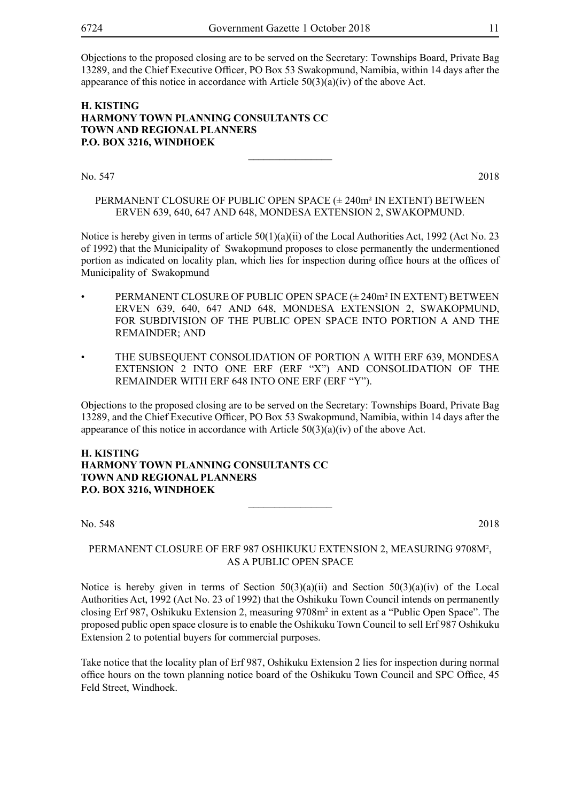Objections to the proposed closing are to be served on the Secretary: Townships Board, Private Bag 13289, and the Chief Executive Officer, PO Box 53 Swakopmund, Namibia, within 14 days after the appearance of this notice in accordance with Article 50(3)(a)(iv) of the above Act.

#### **H. Kisting Harmony Town Planning Consultants cc Town and Regional Planners P.O. Box 3216, Windhoek**

No. 547 2018

PERMANENT CLOSURE OF PUBLIC OPEN SPACE (± 240m² IN EXTENT) BETWEEN ERVEN 639, 640, 647 AND 648, MONDESA EXTENSION 2, SWAKOPMUND.

 $\overline{\phantom{a}}$  , where  $\overline{\phantom{a}}$ 

Notice is hereby given in terms of article 50(1)(a)(ii) of the Local Authorities Act, 1992 (Act No. 23 of 1992) that the Municipality of Swakopmund proposes to close permanently the undermentioned portion as indicated on locality plan, which lies for inspection during office hours at the offices of Municipality of Swakopmund

- PERMANENT CLOSURE OF PUBLIC OPEN SPACE (± 240m² IN EXTENT) BETWEEN ERVEN 639, 640, 647 AND 648, MONDESA EXTENSION 2, SWAKOPMUND, FOR SUBDIVISION OF THE PUBLIC OPEN SPACE INTO PORTION A AND THE REMAINDER; AND
- THE SUBSEQUENT CONSOLIDATION OF PORTION A WITH ERF 639, MONDESA EXTENSION 2 INTO ONE ERF (ERF "X") AND CONSOLIDATION OF THE REMAINDER WITH ERF 648 INTO ONE ERF (ERF "Y").

Objections to the proposed closing are to be served on the Secretary: Townships Board, Private Bag 13289, and the Chief Executive Officer, PO Box 53 Swakopmund, Namibia, within 14 days after the appearance of this notice in accordance with Article  $50(3)(a)(iv)$  of the above Act.

#### **H. Kisting Harmony Town Planning Consultants cc Town and Regional Planners P.O. Box 3216, Windhoek**

No. 548 2018

# PERMANENT CLOSURE OF ERF 987 OSHIKUKU EXTENSION 2, MEASURING 9708M2 , AS A PUBLIC OPEN SPACE

 $\frac{1}{2}$ 

Notice is hereby given in terms of Section  $50(3)(a)(ii)$  and Section  $50(3)(a)(iv)$  of the Local Authorities Act, 1992 (Act No. 23 of 1992) that the Oshikuku Town Council intends on permanently closing Erf 987, Oshikuku Extension 2, measuring 9708m2 in extent as a "Public Open Space". The proposed public open space closure is to enable the Oshikuku Town Council to sell Erf 987 Oshikuku Extension 2 to potential buyers for commercial purposes.

Take notice that the locality plan of Erf 987, Oshikuku Extension 2 lies for inspection during normal office hours on the town planning notice board of the Oshikuku Town Council and SPC Office, 45 Feld Street, Windhoek.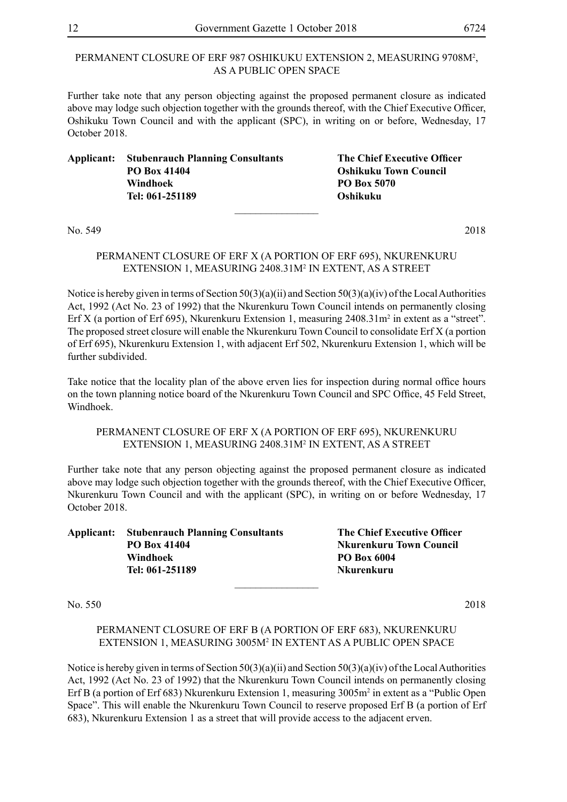#### PERMANENT CLOSURE OF ERF 987 OSHIKUKU EXTENSION 2, MEASURING 9708M<sup>2</sup>, AS A PUBLIC OPEN SPACE

Further take note that any person objecting against the proposed permanent closure as indicated above may lodge such objection together with the grounds thereof, with the Chief Executive Officer, Oshikuku Town Council and with the applicant (SPC), in writing on or before, Wednesday, 17 October 2018.

| Applicant: | <b>Stubenrauch Planning Consultants</b> | The Chief Executive Officer  |
|------------|-----------------------------------------|------------------------------|
|            | PO Box 41404                            | <b>Oshikuku Town Council</b> |
|            | Windhoek                                | PO Box 5070                  |
|            | Tel: 061-251189                         | <b>Oshikuku</b>              |
|            |                                         |                              |

No. 549 2018

# PERMANENT CLOSURE OF ERF X (A PORTION OF ERF 695), NKURENKURU EXTENSION 1, MEASURING 2408.31M2 IN EXTENT, AS A STREET

Notice is hereby given in terms of Section  $50(3)(a)(ii)$  and Section  $50(3)(a)(iv)$  of the Local Authorities Act, 1992 (Act No. 23 of 1992) that the Nkurenkuru Town Council intends on permanently closing Erf X (a portion of Erf 695), Nkurenkuru Extension 1, measuring 2408.31m<sup>2</sup> in extent as a "street". The proposed street closure will enable the Nkurenkuru Town Council to consolidate Erf X (a portion of Erf 695), Nkurenkuru Extension 1, with adjacent Erf 502, Nkurenkuru Extension 1, which will be further subdivided.

Take notice that the locality plan of the above erven lies for inspection during normal office hours on the town planning notice board of the Nkurenkuru Town Council and SPC Office, 45 Feld Street, Windhoek.

# PERMANENT CLOSURE OF ERF X (A PORTION OF ERF 695), NKURENKURU EXTENSION 1, MEASURING 2408.31M2 IN EXTENT, AS A STREET

Further take note that any person objecting against the proposed permanent closure as indicated above may lodge such objection together with the grounds thereof, with the Chief Executive Officer, Nkurenkuru Town Council and with the applicant (SPC), in writing on or before Wednesday, 17 October 2018.

**Applicant: Stubenrauch Planning Consultants The Chief Executive Officer PO Box 41404 Nkurenkuru Town Council Windhoek PO Box 6004 Tel: 061-251189 Nkurenkuru**

No. 550 2018

# PERMANENT CLOSURE OF ERF B (A PORTION OF ERF 683), NKURENKURU EXTENSION 1, MEASURING 3005M2 IN EXTENT AS A PUBLIC OPEN SPACE

 $\frac{1}{2}$ 

Notice is hereby given in terms of Section  $50(3)(a)(ii)$  and Section  $50(3)(a)(iv)$  of the Local Authorities Act, 1992 (Act No. 23 of 1992) that the Nkurenkuru Town Council intends on permanently closing Erf B (a portion of Erf 683) Nkurenkuru Extension 1, measuring 3005m<sup>2</sup> in extent as a "Public Open Space". This will enable the Nkurenkuru Town Council to reserve proposed Erf B (a portion of Erf 683), Nkurenkuru Extension 1 as a street that will provide access to the adjacent erven.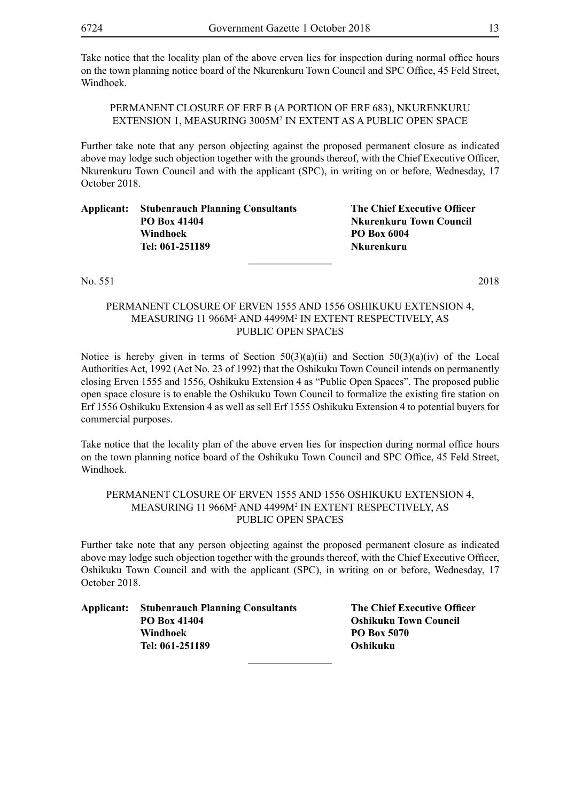Take notice that the locality plan of the above erven lies for inspection during normal office hours on the town planning notice board of the Nkurenkuru Town Council and SPC Office, 45 Feld Street, Windhoek.

PERMANENT CLOSURE OF ERF B (A PORTION OF ERF 683), NKURENKURU EXTENSION 1, MEASURING 3005M<sup>2</sup> IN EXTENT AS A PUBLIC OPEN SPACE

Further take note that any person objecting against the proposed permanent closure as indicated above may lodge such objection together with the grounds thereof, with the Chief Executive Officer, Nkurenkuru Town Council and with the applicant (SPC), in writing on or before, Wednesday, 17 October 2018.

| PO Box 41404    | <b>Nkurenkuru Town Council</b> |
|-----------------|--------------------------------|
|                 |                                |
| Windhoek        | <b>PO Box 6004</b>             |
| Tel: 061-251189 | Nkurenkuru                     |

No. 551 2018

# PERMANENT CLOSURE OF ERVEN 1555 AND 1556 OSHIKUKU EXTENSION 4, MEASURING 11 966M2 AND 4499M2 IN EXTENT RESPECTIVELY, AS PUBLIC OPEN SPACES

Notice is hereby given in terms of Section  $50(3)(a)(ii)$  and Section  $50(3)(a)(iv)$  of the Local Authorities Act, 1992 (Act No. 23 of 1992) that the Oshikuku Town Council intends on permanently closing Erven 1555 and 1556, Oshikuku Extension 4 as "Public Open Spaces". The proposed public open space closure is to enable the Oshikuku Town Council to formalize the existing fire station on Erf 1556 Oshikuku Extension 4 as well as sell Erf 1555 Oshikuku Extension 4 to potential buyers for commercial purposes.

Take notice that the locality plan of the above erven lies for inspection during normal office hours on the town planning notice board of the Oshikuku Town Council and SPC Office, 45 Feld Street, Windhoek.

# PERMANENT CLOSURE OF ERVEN 1555 AND 1556 OSHIKUKU EXTENSION 4, MEASURING 11 966M2 AND 4499M2 IN EXTENT RESPECTIVELY, AS PUBLIC OPEN SPACES

Further take note that any person objecting against the proposed permanent closure as indicated above may lodge such objection together with the grounds thereof, with the Chief Executive Officer, Oshikuku Town Council and with the applicant (SPC), in writing on or before, Wednesday, 17 October 2018.

| Applicant: | <b>Stubenrauch Planning Consultants</b> |  |  |
|------------|-----------------------------------------|--|--|
|            | PO Box 41404                            |  |  |
|            | Windhoek                                |  |  |
|            | Tel: 061-251189                         |  |  |
|            |                                         |  |  |

**The Chief Executive Officer Poshikuku Town Council PO Box 5070 Oshikuku**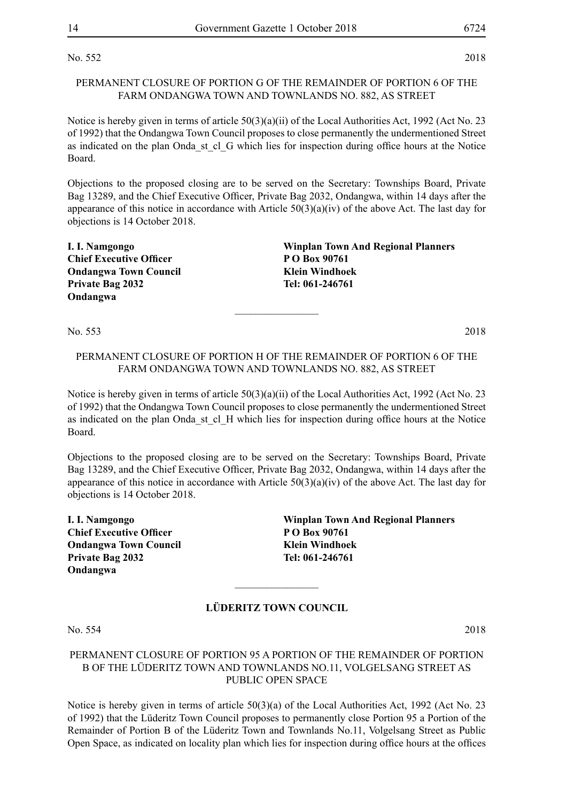No. 552 2018

#### PERMANENT CLOSURE OF PORTION G OF THE REMAINDER OF PORTION 6 OF THE FARM ONDANGWA TOWN AND TOWNLANDS NO. 882, AS STREET

Notice is hereby given in terms of article 50(3)(a)(ii) of the Local Authorities Act, 1992 (Act No. 23 of 1992) that the Ondangwa Town Council proposes to close permanently the undermentioned Street as indicated on the plan Onda st cl G which lies for inspection during office hours at the Notice Board.

Objections to the proposed closing are to be served on the Secretary: Townships Board, Private Bag 13289, and the Chief Executive Officer, Private Bag 2032, Ondangwa, within 14 days after the appearance of this notice in accordance with Article  $50(3)(a)(iv)$  of the above Act. The last day for objections is 14 October 2018.

| I. I. Namgongo                 | <b>Winplan Town And Regional Planners</b> |
|--------------------------------|-------------------------------------------|
| <b>Chief Executive Officer</b> | P O Box 90761                             |
| <b>Ondangwa Town Council</b>   | Klein Windhoek                            |
| <b>Private Bag 2032</b>        | Tel: 061-246761                           |
| Ondangwa                       |                                           |

No. 553 2018

#### PERMANENT CLOSURE OF PORTION H OF THE REMAINDER OF PORTION 6 OF THE FARM ONDANGWA TOWN AND TOWNLANDS NO. 882, AS STREET

 $\frac{1}{2}$ 

Notice is hereby given in terms of article 50(3)(a)(ii) of the Local Authorities Act, 1992 (Act No. 23 of 1992) that the Ondangwa Town Council proposes to close permanently the undermentioned Street as indicated on the plan Onda st cl. H which lies for inspection during office hours at the Notice Board.

Objections to the proposed closing are to be served on the Secretary: Townships Board, Private Bag 13289, and the Chief Executive Officer, Private Bag 2032, Ondangwa, within 14 days after the appearance of this notice in accordance with Article 50(3)(a)(iv) of the above Act. The last day for objections is 14 October 2018.

**Chief Executive Officer P O Box 90761 Ondangwa Town Council Klein Windhoek Private Bag 2032 Tel: 061-246761 Ondangwa** 

**I. I. Namgongo Winplan Town And Regional Planners**

# **LÜDERITZ TOWN COUNCIL**

 $\frac{1}{2}$ 

No. 554 2018

#### PERMANENT CLOSURE OF PORTION 95 A PORTION OF THE REMAINDER OF PORTION B OF THE LÜDERITZ TOWN AND TOWNLANDS NO.11, VOLGELSANG STREET AS PUBLIC OPEN SPACE

Notice is hereby given in terms of article 50(3)(a) of the Local Authorities Act, 1992 (Act No. 23 of 1992) that the Lüderitz Town Council proposes to permanently close Portion 95 a Portion of the Remainder of Portion B of the Lüderitz Town and Townlands No.11, Volgelsang Street as Public Open Space, as indicated on locality plan which lies for inspection during office hours at the offices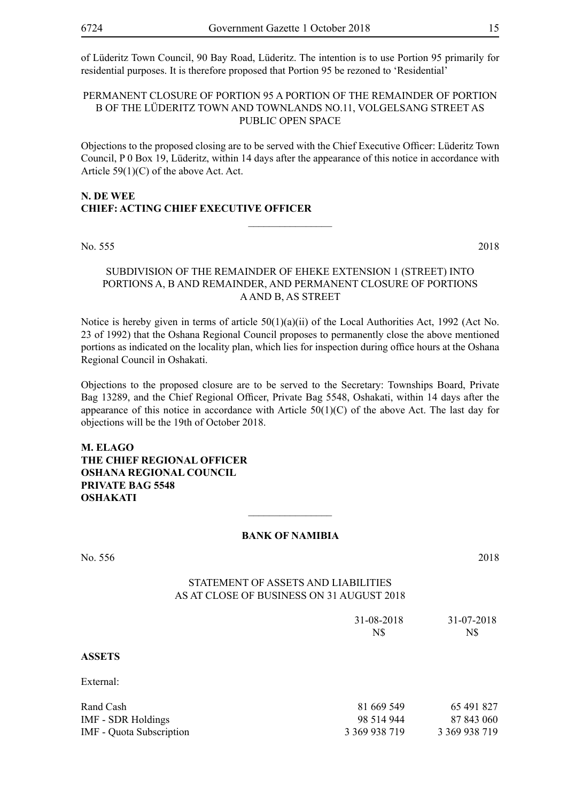of Lüderitz Town Council, 90 Bay Road, Lüderitz. The intention is to use Portion 95 primarily for residential purposes. It is therefore proposed that Portion 95 be rezoned to 'Residential'

#### PERMANENT CLOSURE OF PORTION 95 A PORTION OF THE REMAINDER OF PORTION B OF THE LÜDERITZ TOWN AND TOWNLANDS NO.11, VOLGELSANG STREET AS PUBLIC OPEN SPACE

Objections to the proposed closing are to be served with the Chief Executive Officer: Lüderitz Town Council, P 0 Box 19, Lüderitz, within 14 days after the appearance of this notice in accordance with Article 59(1)(C) of the above Act. Act.

 $\overline{\phantom{a}}$  , where  $\overline{\phantom{a}}$ 

# **N. De Wee CHIEF: ACTING CHIEF EXECUTIVE OFFICER**

No. 555 2018

#### SUBDIVISION OF THE REMAINDER OF EHEKE EXTENSION 1 (STREET) INTO PORTIONS A, B AND REMAINDER, AND PERMANENT CLOSURE OF PORTIONS A AND B, AS STREET

Notice is hereby given in terms of article 50(1)(a)(ii) of the Local Authorities Act, 1992 (Act No. 23 of 1992) that the Oshana Regional Council proposes to permanently close the above mentioned portions as indicated on the locality plan, which lies for inspection during office hours at the Oshana Regional Council in Oshakati.

Objections to the proposed closure are to be served to the Secretary: Townships Board, Private Bag 13289, and the Chief Regional Officer, Private Bag 5548, Oshakati, within 14 days after the appearance of this notice in accordance with Article  $50(1)(C)$  of the above Act. The last day for objections will be the 19th of October 2018.

**M. Elago The Chief Regional Officer Oshana Regional Council Private Bag 5548 OSHAKATI**

#### **BANK OF NAMIBIA**

 $\overline{\phantom{a}}$  , where  $\overline{\phantom{a}}$ 

No. 556 2018 Statement of Assets and Liabilities As at close of business on 31 August 2018 31-08-2018 31-07-2018 N\$ N\$ **ASSETS**  External: Rand Cash 81 669 549 65 491 827 IMF - SDR Holdings 98 514 944 87 843 060 IMF - Quota Subscription 3 369 938 719 3 369 938 719